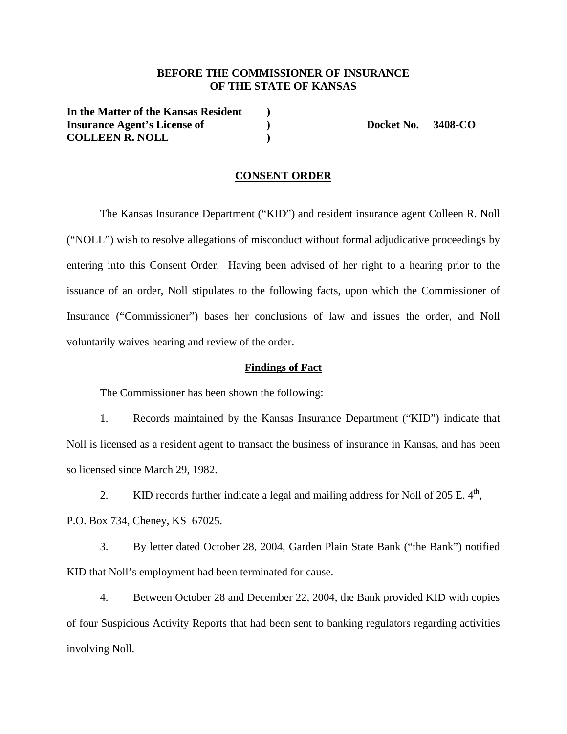## **BEFORE THE COMMISSIONER OF INSURANCE OF THE STATE OF KANSAS**

**In the Matter of the Kansas Resident ) Insurance Agent's License of**  $\qquad$  **)** Docket No. 3408-CO **COLLEEN R. NOLL )** 

### **CONSENT ORDER**

 The Kansas Insurance Department ("KID") and resident insurance agent Colleen R. Noll ("NOLL") wish to resolve allegations of misconduct without formal adjudicative proceedings by entering into this Consent Order. Having been advised of her right to a hearing prior to the issuance of an order, Noll stipulates to the following facts, upon which the Commissioner of Insurance ("Commissioner") bases her conclusions of law and issues the order, and Noll voluntarily waives hearing and review of the order.

#### **Findings of Fact**

The Commissioner has been shown the following:

1. Records maintained by the Kansas Insurance Department ("KID") indicate that Noll is licensed as a resident agent to transact the business of insurance in Kansas, and has been so licensed since March 29, 1982.

2. KID records further indicate a legal and mailing address for Noll of 205 E.  $4<sup>th</sup>$ ,

P.O. Box 734, Cheney, KS 67025.

3. By letter dated October 28, 2004, Garden Plain State Bank ("the Bank") notified KID that Noll's employment had been terminated for cause.

4. Between October 28 and December 22, 2004, the Bank provided KID with copies of four Suspicious Activity Reports that had been sent to banking regulators regarding activities involving Noll.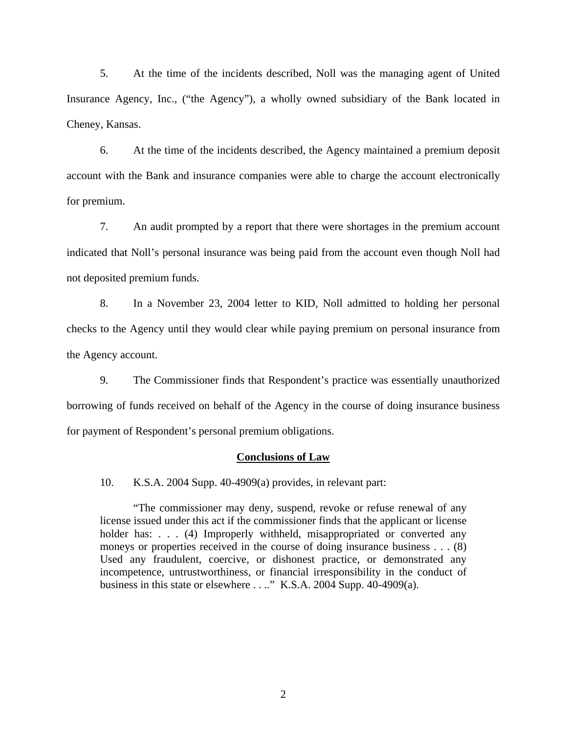5. At the time of the incidents described, Noll was the managing agent of United Insurance Agency, Inc., ("the Agency"), a wholly owned subsidiary of the Bank located in Cheney, Kansas.

6. At the time of the incidents described, the Agency maintained a premium deposit account with the Bank and insurance companies were able to charge the account electronically for premium.

7. An audit prompted by a report that there were shortages in the premium account indicated that Noll's personal insurance was being paid from the account even though Noll had not deposited premium funds.

8. In a November 23, 2004 letter to KID, Noll admitted to holding her personal checks to the Agency until they would clear while paying premium on personal insurance from the Agency account.

9. The Commissioner finds that Respondent's practice was essentially unauthorized borrowing of funds received on behalf of the Agency in the course of doing insurance business for payment of Respondent's personal premium obligations.

#### **Conclusions of Law**

10. K.S.A. 2004 Supp. 40-4909(a) provides, in relevant part:

"The commissioner may deny, suspend, revoke or refuse renewal of any license issued under this act if the commissioner finds that the applicant or license holder has: . . . (4) Improperly withheld, misappropriated or converted any moneys or properties received in the course of doing insurance business . . . (8) Used any fraudulent, coercive, or dishonest practice, or demonstrated any incompetence, untrustworthiness, or financial irresponsibility in the conduct of business in this state or elsewhere . . .." K.S.A. 2004 Supp. 40-4909(a).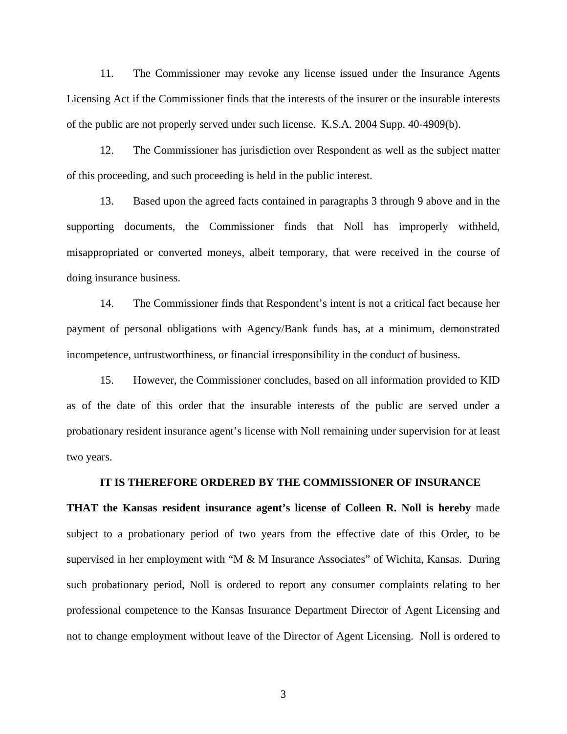11. The Commissioner may revoke any license issued under the Insurance Agents Licensing Act if the Commissioner finds that the interests of the insurer or the insurable interests of the public are not properly served under such license. K.S.A. 2004 Supp. 40-4909(b).

12. The Commissioner has jurisdiction over Respondent as well as the subject matter of this proceeding, and such proceeding is held in the public interest.

13. Based upon the agreed facts contained in paragraphs 3 through 9 above and in the supporting documents, the Commissioner finds that Noll has improperly withheld, misappropriated or converted moneys, albeit temporary, that were received in the course of doing insurance business.

14. The Commissioner finds that Respondent's intent is not a critical fact because her payment of personal obligations with Agency/Bank funds has, at a minimum, demonstrated incompetence, untrustworthiness, or financial irresponsibility in the conduct of business.

15. However, the Commissioner concludes, based on all information provided to KID as of the date of this order that the insurable interests of the public are served under a probationary resident insurance agent's license with Noll remaining under supervision for at least two years.

#### **IT IS THEREFORE ORDERED BY THE COMMISSIONER OF INSURANCE**

**THAT the Kansas resident insurance agent's license of Colleen R. Noll is hereby** made subject to a probationary period of two years from the effective date of this Order, to be supervised in her employment with "M & M Insurance Associates" of Wichita, Kansas. During such probationary period, Noll is ordered to report any consumer complaints relating to her professional competence to the Kansas Insurance Department Director of Agent Licensing and not to change employment without leave of the Director of Agent Licensing. Noll is ordered to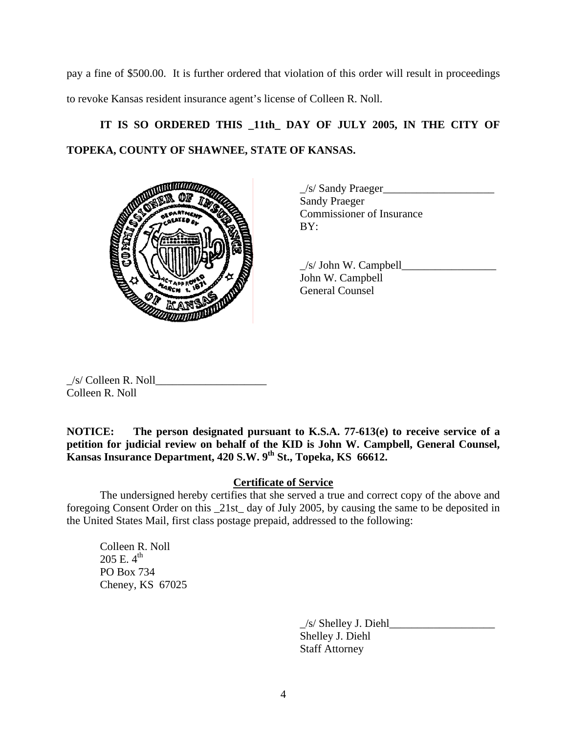pay a fine of \$500.00. It is further ordered that violation of this order will result in proceedings to revoke Kansas resident insurance agent's license of Colleen R. Noll.

# IT IS SO ORDERED THIS 11th DAY OF JULY 2005, IN THE CITY OF **TOPEKA, COUNTY OF SHAWNEE, STATE OF KANSAS.**



 \_/s/ Sandy Praeger\_\_\_\_\_\_\_\_\_\_\_\_\_\_\_\_\_\_\_\_ Sandy Praeger Commissioner of Insurance

 $\frac{1}{s}$  John W. Campbell John W. Campbell General Counsel

 $\angle$ s/ Colleen R. Noll Colleen R. Noll

**NOTICE: The person designated pursuant to K.S.A. 77-613(e) to receive service of a petition for judicial review on behalf of the KID is John W. Campbell, General Counsel, Kansas Insurance Department, 420 S.W. 9th St., Topeka, KS 66612.** 

# **Certificate of Service**

 The undersigned hereby certifies that she served a true and correct copy of the above and foregoing Consent Order on this \_21st\_ day of July 2005, by causing the same to be deposited in the United States Mail, first class postage prepaid, addressed to the following:

 Colleen R. Noll 205 E.  $4^{\text{th}}$ PO Box 734 Cheney, KS 67025

> \_/s/ Shelley J. Diehl\_\_\_\_\_\_\_\_\_\_\_\_\_\_\_\_\_\_\_ Shelley J. Diehl Staff Attorney